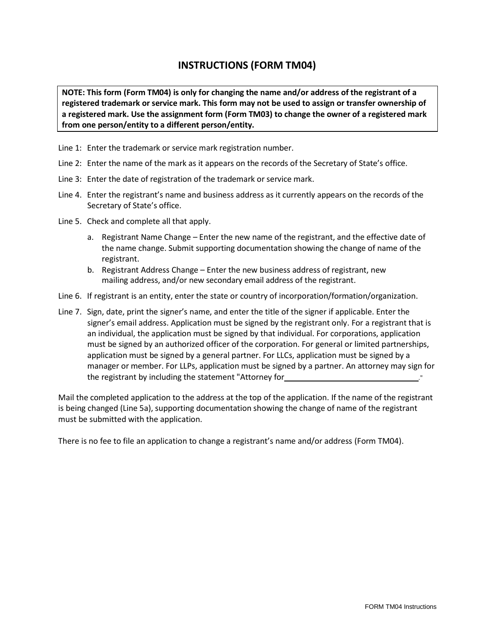## **INSTRUCTIONS (FORM TM04)**

**NOTE: This form (Form TM04) is only for changing the name and/or address of the registrant of a registered trademark or service mark. This form may not be used to assign or transfer ownership of a registered mark. Use the assignment form (Form TM03) to change the owner of a registered mark from one person/entity to a different person/entity.**

- Line 1: Enter the trademark or service mark registration number.
- Line 2: Enter the name of the mark as it appears on the records of the Secretary of State's office.
- Line 3: Enter the date of registration of the trademark or service mark.
- Line 4. Enter the registrant's name and business address as it currently appears on the records of the Secretary of State's office.
- Line 5. Check and complete all that apply.
	- a. Registrant Name Change Enter the new name of the registrant, and the effective date of the name change. Submit supporting documentation showing the change of name of the registrant.
	- b. Registrant Address Change Enter the new business address of registrant, new mailing address, and/or new secondary email address of the registrant.
- Line 6. If registrant is an entity, enter the state or country of incorporation/formation/organization.
- Line 7. Sign, date, print the signer's name, and enter the title of the signer if applicable. Enter the signer's email address. Application must be signed by the registrant only. For a registrant that is an individual, the application must be signed by that individual. For corporations, application must be signed by an authorized officer of the corporation. For general or limited partnerships, application must be signed by a general partner. For LLCs, application must be signed by a manager or member. For LLPs, application must be signed by a partner. An attorney may sign for the registrant by including the statement "Attorney for\_

Mail the completed application to the address at the top of the application. If the name of the registrant is being changed (Line 5a), supporting documentation showing the change of name of the registrant must be submitted with the application.

There is no fee to file an application to change a registrant's name and/or address (Form TM04).